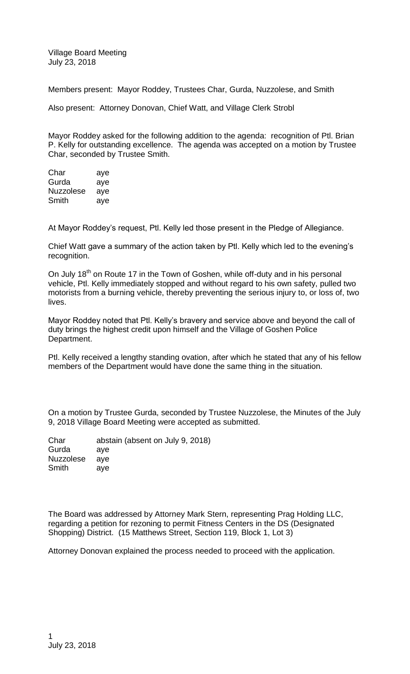Village Board Meeting July 23, 2018

Members present: Mayor Roddey, Trustees Char, Gurda, Nuzzolese, and Smith

Also present: Attorney Donovan, Chief Watt, and Village Clerk Strobl

Mayor Roddey asked for the following addition to the agenda: recognition of Ptl. Brian P. Kelly for outstanding excellence. The agenda was accepted on a motion by Trustee Char, seconded by Trustee Smith.

Char aye Gurda aye Nuzzolese aye Smith aye

At Mayor Roddey's request, Ptl. Kelly led those present in the Pledge of Allegiance.

Chief Watt gave a summary of the action taken by Ptl. Kelly which led to the evening's recognition.

On July 18<sup>th</sup> on Route 17 in the Town of Goshen, while off-duty and in his personal vehicle, Ptl. Kelly immediately stopped and without regard to his own safety, pulled two motorists from a burning vehicle, thereby preventing the serious injury to, or loss of, two lives.

Mayor Roddey noted that Ptl. Kelly's bravery and service above and beyond the call of duty brings the highest credit upon himself and the Village of Goshen Police Department.

Ptl. Kelly received a lengthy standing ovation, after which he stated that any of his fellow members of the Department would have done the same thing in the situation.

On a motion by Trustee Gurda, seconded by Trustee Nuzzolese, the Minutes of the July 9, 2018 Village Board Meeting were accepted as submitted.

| Char      | abstain (absent on July 9, 2018) |
|-----------|----------------------------------|
| Gurda     | ave                              |
| Nuzzolese | ave                              |
| Smith     | ave                              |

The Board was addressed by Attorney Mark Stern, representing Prag Holding LLC, regarding a petition for rezoning to permit Fitness Centers in the DS (Designated Shopping) District. (15 Matthews Street, Section 119, Block 1, Lot 3)

Attorney Donovan explained the process needed to proceed with the application.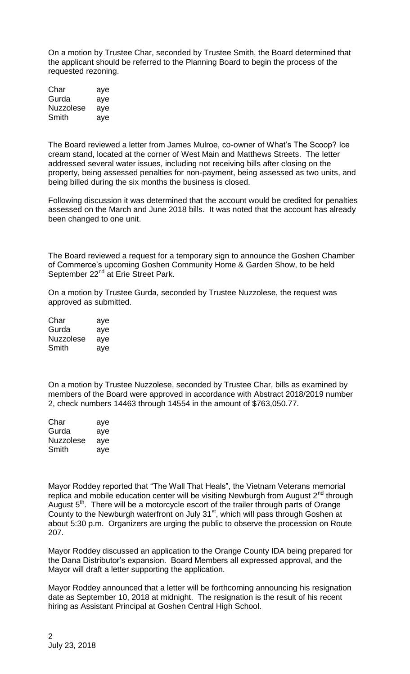On a motion by Trustee Char, seconded by Trustee Smith, the Board determined that the applicant should be referred to the Planning Board to begin the process of the requested rezoning.

| Char      | aye |
|-----------|-----|
| Gurda     | aye |
| Nuzzolese | aye |
| Smith     | aye |

The Board reviewed a letter from James Mulroe, co-owner of What's The Scoop? Ice cream stand, located at the corner of West Main and Matthews Streets. The letter addressed several water issues, including not receiving bills after closing on the property, being assessed penalties for non-payment, being assessed as two units, and being billed during the six months the business is closed.

Following discussion it was determined that the account would be credited for penalties assessed on the March and June 2018 bills. It was noted that the account has already been changed to one unit.

The Board reviewed a request for a temporary sign to announce the Goshen Chamber of Commerce's upcoming Goshen Community Home & Garden Show, to be held September 22<sup>nd</sup> at Erie Street Park.

On a motion by Trustee Gurda, seconded by Trustee Nuzzolese, the request was approved as submitted.

| Char      | aye |
|-----------|-----|
| Gurda     | aye |
| Nuzzolese | aye |
| Smith     | aye |

On a motion by Trustee Nuzzolese, seconded by Trustee Char, bills as examined by members of the Board were approved in accordance with Abstract 2018/2019 number 2, check numbers 14463 through 14554 in the amount of \$763,050.77.

| Char      | aye |
|-----------|-----|
| Gurda     | aye |
| Nuzzolese | aye |
| Smith     | aye |

Mayor Roddey reported that "The Wall That Heals", the Vietnam Veterans memorial replica and mobile education center will be visiting Newburgh from August  $2^{nd}$  through August  $5<sup>th</sup>$ . There will be a motorcycle escort of the trailer through parts of Orange County to the Newburgh waterfront on July 31 $<sup>st</sup>$ , which will pass through Goshen at</sup> about 5:30 p.m. Organizers are urging the public to observe the procession on Route 207.

Mayor Roddey discussed an application to the Orange County IDA being prepared for the Dana Distributor's expansion. Board Members all expressed approval, and the Mayor will draft a letter supporting the application.

Mayor Roddey announced that a letter will be forthcoming announcing his resignation date as September 10, 2018 at midnight. The resignation is the result of his recent hiring as Assistant Principal at Goshen Central High School.